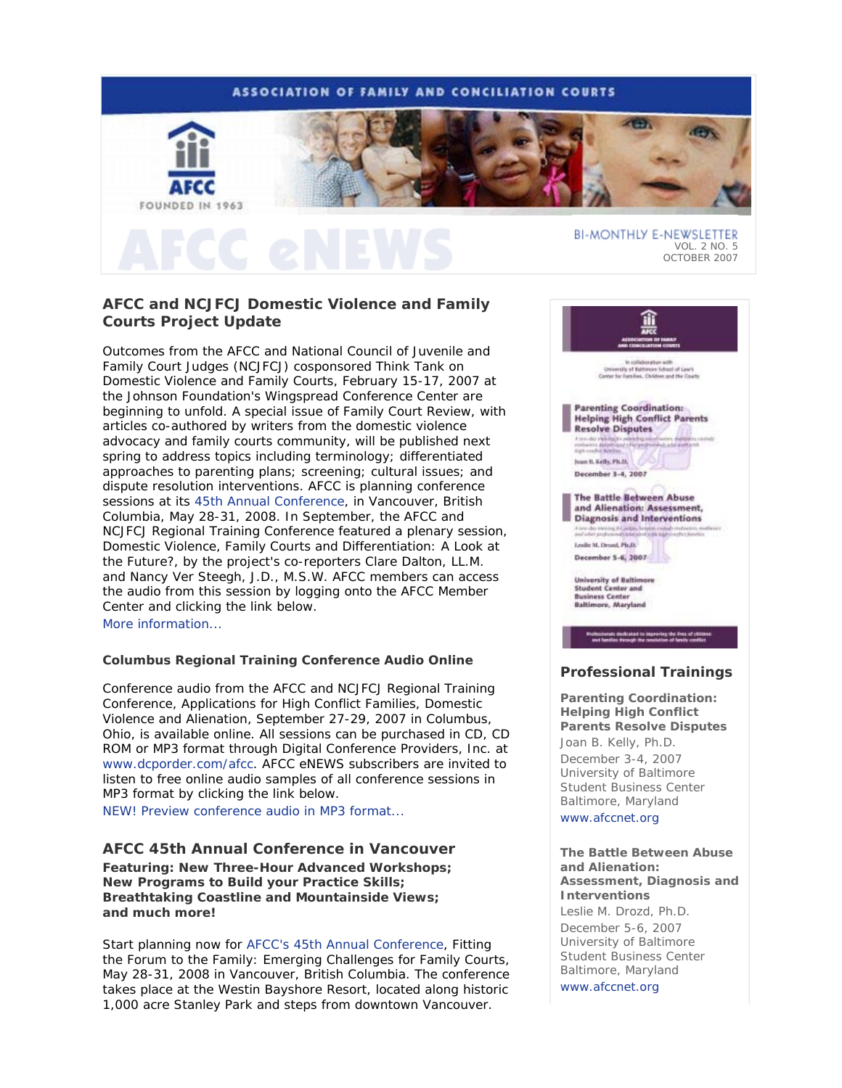## **ASSOCIATION OF FAMILY AND CONCILIATION COURTS**



# **AFCC and NCJFCJ Domestic Violence and Family Courts Project Update**

Outcomes from the AFCC and National Council of Juvenile and Family Court Judges (NCJFCJ) cosponsored Think Tank on Domestic Violence and Family Courts, February 15-17, 2007 at the Johnson Foundation's Wingspread Conference Center are beginning to unfold. A special issue of *Family Court Review*, with articles co-authored by writers from the domestic violence advocacy and family courts community, will be published next spring to address topics including terminology; differentiated approaches to parenting plans; screening; cultural issues; and dispute resolution interventions. AFCC is planning conference sessions at its 45th Annual Conference, in Vancouver, British Columbia, May 28-31, 2008. In September, the AFCC and NCJFCJ Regional Training Conference featured a plenary session, *Domestic Violence, Family Courts and Differentiation: A Look at the Future?*, by the project's co-reporters Clare Dalton, LL.M. and Nancy Ver Steegh, J.D., M.S.W. AFCC members can access the audio from this session by logging onto the AFCC Member Center and clicking the link below. More information...

### **Columbus Regional Training Conference Audio Online**

Conference audio from the AFCC and NCJFCJ Regional Training Conference, *Applications for High Conflict Families, Domestic Violence and Alienation*, September 27-29, 2007 in Columbus, Ohio, is available online. All sessions can be purchased in CD, CD ROM or MP3 format through Digital Conference Providers, Inc. at www.dcporder.com/afcc. *AFCC eNEWS* subscribers are invited to listen to free online audio samples of all conference sessions in MP3 format by clicking the link below.

*NEW!* Preview conference audio in MP3 format...

## **AFCC 45th Annual Conference in Vancouver**

*Featuring: New Three-Hour Advanced Workshops; New Programs to Build your Practice Skills; Breathtaking Coastline and Mountainside Views; and much more!* 

Start planning now for AFCC's 45th Annual Conference, *Fitting the Forum to the Family: Emerging Challenges for Family Courts*, May 28-31, 2008 in Vancouver, British Columbia. The conference takes place at the Westin Bayshore Resort, located along historic 1,000 acre Stanley Park and steps from downtown Vancouver.



## **Professional Trainings**

**Parenting Coordination: Helping High Conflict Parents Resolve Disputes** *Joan B. Kelly, Ph.D.* December 3-4, 2007 University of Baltimore Student Business Center Baltimore, Maryland www.afccnet.org

#### **The Battle Between Abuse and Alienation: Assessment, Diagnosis and Interventions**

*Leslie M. Drozd, Ph.D.* December 5-6, 2007 University of Baltimore Student Business Center Baltimore, Maryland www.afccnet.org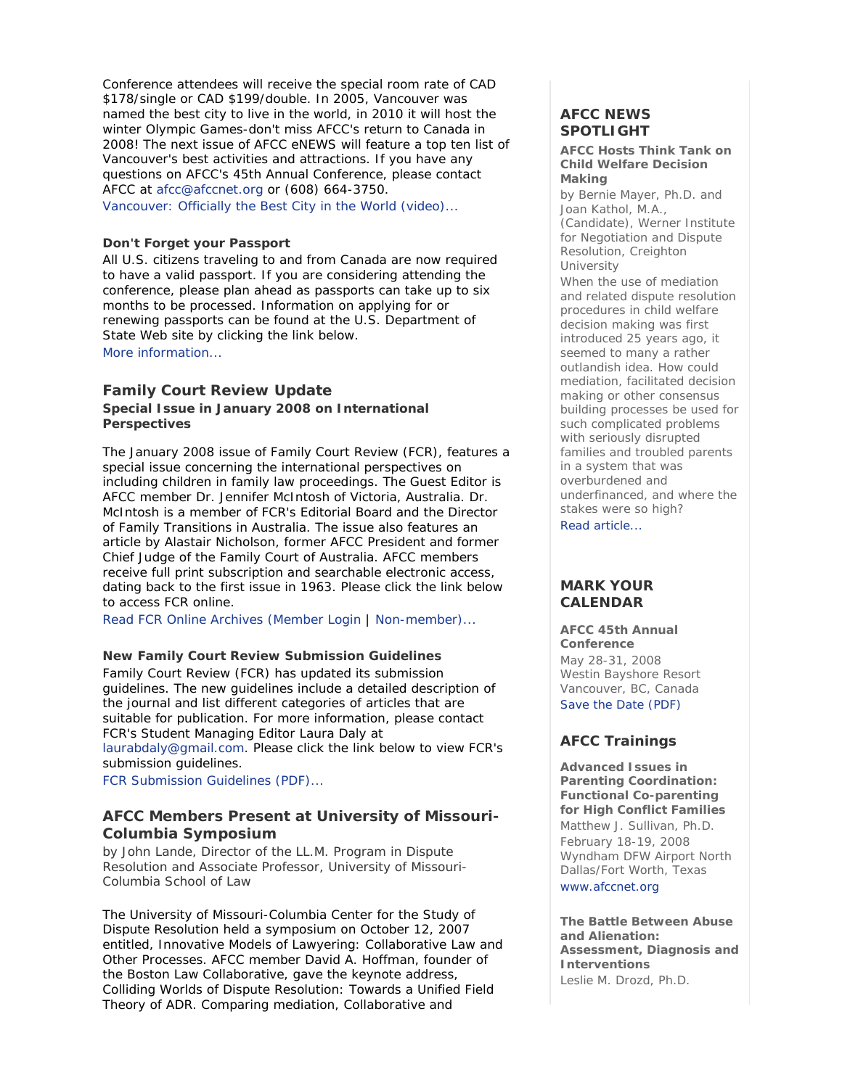Conference attendees will receive the special room rate of CAD \$178/single or CAD \$199/double. In 2005, Vancouver was named the best city to live in the world, in 2010 it will host the winter Olympic Games-don't miss AFCC's return to Canada in 2008! The next issue of *AFCC eNEWS* will feature a top ten list of Vancouver's best activities and attractions. If you have any questions on AFCC's 45th Annual Conference, please contact AFCC at afcc@afccnet.org or (608) 664-3750.

Vancouver: Officially the Best City in the World (video)...

## **Don't Forget your Passport**

All U.S. citizens traveling to and from Canada are now required to have a valid passport. If you are considering attending the conference, please plan ahead as passports can take up to six months to be processed. Information on applying for or renewing passports can be found at the U.S. Department of State Web site by clicking the link below. More information...

## **Family Court Review Update**

**Special Issue in January 2008 on International Perspectives**

The January 2008 issue of *Family Court Review (FCR)*, features a special issue concerning the international perspectives on including children in family law proceedings. The Guest Editor is AFCC member Dr. Jennifer McIntosh of Victoria, Australia. Dr. McIntosh is a member of *FCR's* Editorial Board and the Director of Family Transitions in Australia. The issue also features an article by Alastair Nicholson, former AFCC President and former Chief Judge of the Family Court of Australia. AFCC members receive full print subscription and searchable electronic access, dating back to the first issue in 1963. Please click the link below to access *FCR* online.

Read FCR Online Archives (Member Login | Non-member)...

#### **New Family Court Review Submission Guidelines**

*Family Court Review (FCR)* has updated its submission guidelines. The new guidelines include a detailed description of the journal and list different categories of articles that are suitable for publication. For more information, please contact FCR's Student Managing Editor Laura Daly at laurabdaly@gmail.com. Please click the link below to view *FCR's* submission guidelines.

FCR Submission Guidelines (PDF)...

## **AFCC Members Present at University of Missouri-Columbia Symposium**

*by John Lande, Director of the LL.M. Program in Dispute Resolution and Associate Professor, University of Missouri-Columbia School of Law*

The University of Missouri-Columbia Center for the Study of Dispute Resolution held a symposium on October 12, 2007 entitled, *Innovative Models of Lawyering: Collaborative Law and Other Processes*. AFCC member David A. Hoffman, founder of the Boston Law Collaborative, gave the keynote address, *Colliding Worlds of Dispute Resolution: Towards a Unified Field Theory of ADR*. Comparing mediation, Collaborative and

# **AFCC NEWS SPOTLIGHT**

#### **AFCC Hosts Think Tank on Child Welfare Decision Making**

*by Bernie Mayer, Ph.D. and Joan Kathol, M.A., (Candidate), Werner Institute for Negotiation and Dispute Resolution, Creighton University*

When the use of mediation and related dispute resolution procedures in child welfare decision making was first introduced 25 years ago, it seemed to many a rather outlandish idea. How could mediation, facilitated decision making or other consensus building processes be used for such complicated problems with seriously disrupted families and troubled parents in a system that was overburdened and underfinanced, and where the stakes were so high? Read article...

## **MARK YOUR CALENDAR**

**AFCC 45th Annual Conference** May 28-31, 2008 Westin Bayshore Resort Vancouver, BC, Canada Save the Date (PDF)

# **AFCC Trainings**

**Advanced Issues in Parenting Coordination: Functional Co-parenting for High Conflict Families** *Matthew J. Sullivan, Ph.D.* February 18-19, 2008 Wyndham DFW Airport North Dallas/Fort Worth, Texas www.afccnet.org

**The Battle Between Abuse and Alienation: Assessment, Diagnosis and Interventions** *Leslie M. Drozd, Ph.D.*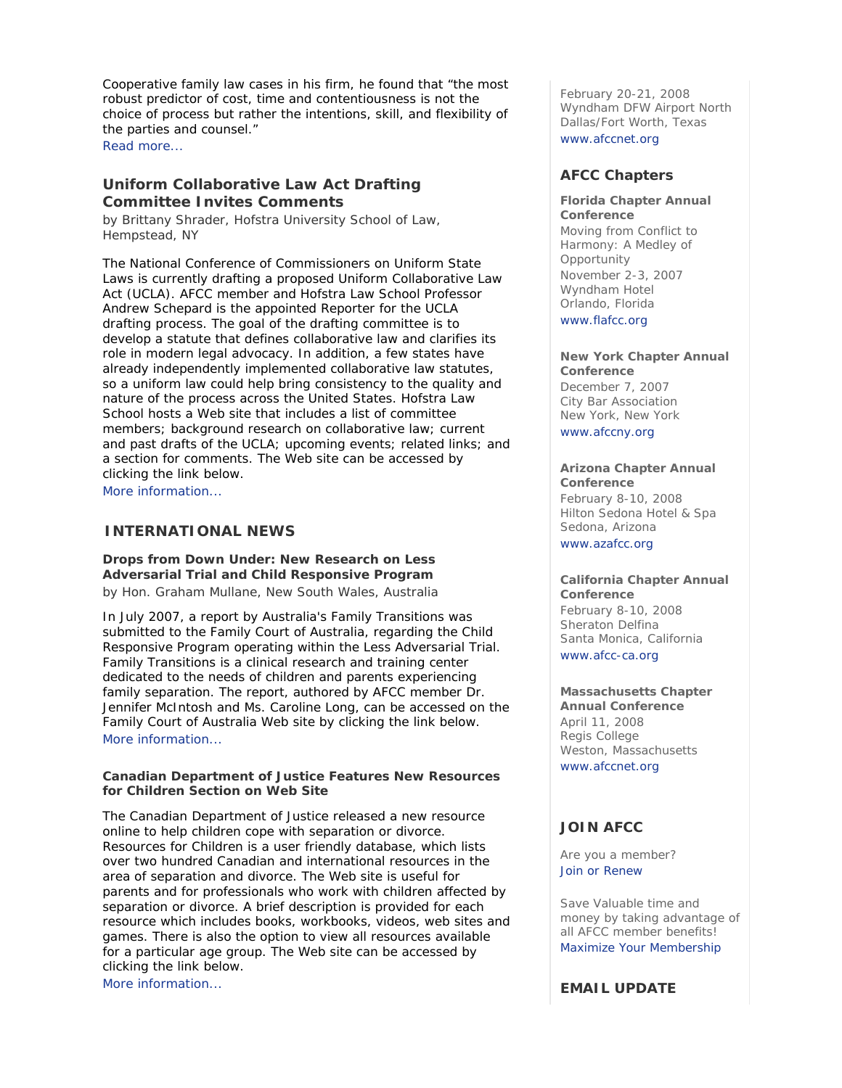Cooperative family law cases in his firm, he found that "the most robust predictor of cost, time and contentiousness is not the choice of process but rather the intentions, skill, and flexibility of the parties and counsel."

Read more...

# **Uniform Collaborative Law Act Drafting Committee Invites Comments**

*by Brittany Shrader, Hofstra University School of Law, Hempstead, NY*

The National Conference of Commissioners on Uniform State Laws is currently drafting a proposed Uniform Collaborative Law Act (UCLA). AFCC member and Hofstra Law School Professor Andrew Schepard is the appointed Reporter for the UCLA drafting process. The goal of the drafting committee is to develop a statute that defines collaborative law and clarifies its role in modern legal advocacy. In addition, a few states have already independently implemented collaborative law statutes, so a uniform law could help bring consistency to the quality and nature of the process across the United States. Hofstra Law School hosts a Web site that includes a list of committee members; background research on collaborative law; current and past drafts of the UCLA; upcoming events; related links; and a section for comments. The Web site can be accessed by clicking the link below.

More information...

# **INTERNATIONAL NEWS**

**Drops from Down Under: New Research on Less Adversarial Trial and Child Responsive Program** *by Hon. Graham Mullane, New South Wales, Australia*

In July 2007, a report by Australia's Family Transitions was submitted to the Family Court of Australia, regarding the Child Responsive Program operating within the Less Adversarial Trial. Family Transitions is a clinical research and training center dedicated to the needs of children and parents experiencing family separation. The report, authored by AFCC member Dr. Jennifer McIntosh and Ms. Caroline Long, can be accessed on the Family Court of Australia Web site by clicking the link below. More information...

### **Canadian Department of Justice Features New Resources for Children Section on Web Site**

The Canadian Department of Justice released a new resource online to help children cope with separation or divorce. *Resources for Children* is a user friendly database, which lists over two hundred Canadian and international resources in the area of separation and divorce. The Web site is useful for parents and for professionals who work with children affected by separation or divorce. A brief description is provided for each resource which includes books, workbooks, videos, web sites and games. There is also the option to view all resources available for a particular age group. The Web site can be accessed by clicking the link below. More information...

February 20-21, 2008 Wyndham DFW Airport North Dallas/Fort Worth, Texas www.afccnet.org

# **AFCC Chapters**

# **Florida Chapter Annual**

**Conference** *Moving from Conflict to Harmony: A Medley of Opportunity*  November 2-3, 2007 Wyndham Hotel Orlando, Florida www.flafcc.org

#### **New York Chapter Annual Conference**

December 7, 2007 City Bar Association New York, New York www.afccny.org

## **Arizona Chapter Annual**

**Conference** February 8-10, 2008 Hilton Sedona Hotel & Spa Sedona, Arizona www.azafcc.org

#### **California Chapter Annual Conference**

February 8-10, 2008 Sheraton Delfina Santa Monica, California www.afcc-ca.org

**Massachusetts Chapter Annual Conference** April 11, 2008 Regis College Weston, Massachusetts www.afccnet.org

# **JOIN AFCC**

Are you a member? Join or Renew

Save Valuable time and money by taking advantage of all AFCC member benefits! Maximize Your Membership

**EMAIL UPDATE**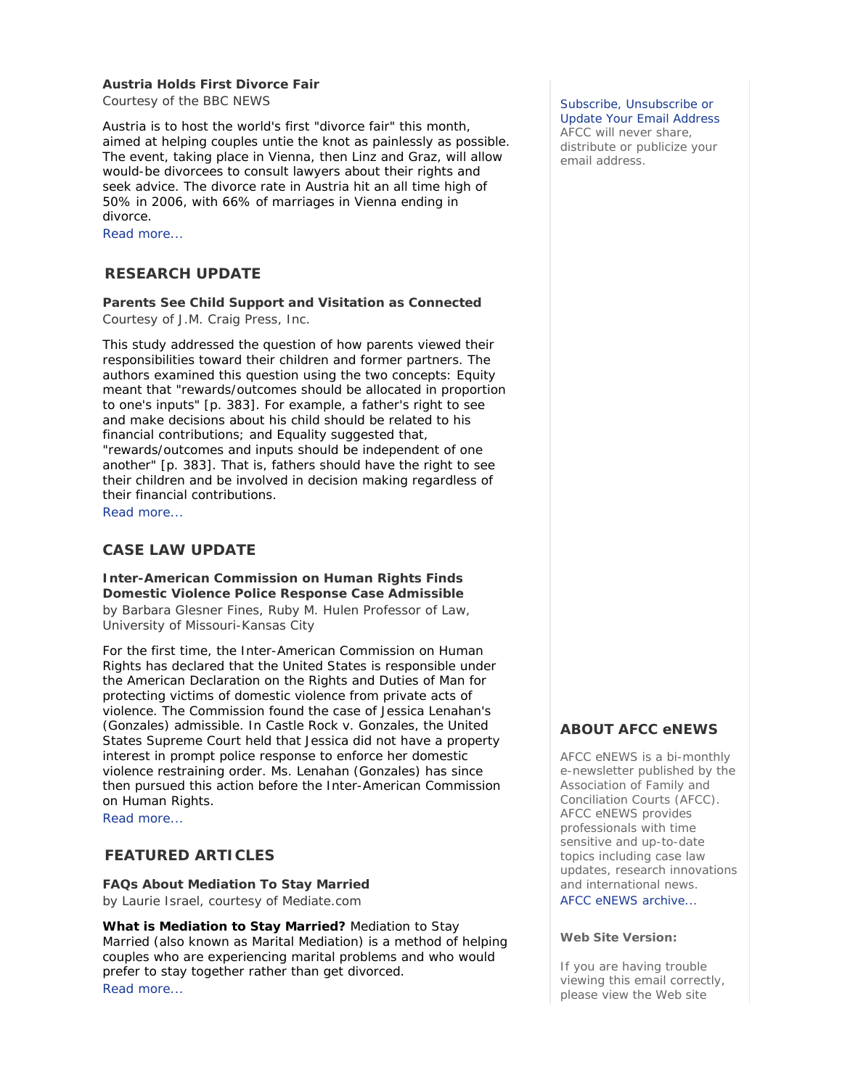# **Austria Holds First Divorce Fair**

*Courtesy of the BBC NEWS*

Austria is to host the world's first "divorce fair" this month, aimed at helping couples untie the knot as painlessly as possible. The event, taking place in Vienna, then Linz and Graz, will allow would-be divorcees to consult lawyers about their rights and seek advice. The divorce rate in Austria hit an all time high of 50% in 2006, with 66% of marriages in Vienna ending in divorce.

Read more...

## **RESEARCH UPDATE**

**Parents See Child Support and Visitation as Connected** *Courtesy of J.M. Craig Press, Inc.*

This study addressed the question of how parents viewed their responsibilities toward their children and former partners. The authors examined this question using the two concepts: Equity meant that "rewards/outcomes should be allocated in proportion to one's inputs" [p. 383]. For example, a father's right to see and make decisions about his child should be related to his financial contributions; and Equality suggested that, "rewards/outcomes and inputs should be independent of one another" [p. 383]. That is, fathers should have the right to see their children and be involved in decision making regardless of their financial contributions. Read more...

## **CASE LAW UPDATE**

#### **Inter-American Commission on Human Rights Finds Domestic Violence Police Response Case Admissible**

*by Barbara Glesner Fines, Ruby M. Hulen Professor of Law, University of Missouri-Kansas City*

For the first time, the Inter-American Commission on Human Rights has declared that the United States is responsible under the American Declaration on the Rights and Duties of Man for protecting victims of domestic violence from private acts of violence. The Commission found the case of Jessica Lenahan's (Gonzales) admissible. In Castle Rock v. Gonzales, the United States Supreme Court held that Jessica did not have a property interest in prompt police response to enforce her domestic violence restraining order. Ms. Lenahan (Gonzales) has since then pursued this action before the Inter-American Commission on Human Rights.

Read more...

## **FEATURED ARTICLES**

**FAQs About Mediation To Stay Married** *by Laurie Israel, courtesy of Mediate.com*

**What is Mediation to Stay Married?** Mediation to Stay Married (also known as Marital Mediation) is a method of helping couples who are experiencing marital problems and who would prefer to stay together rather than get divorced. Read more...

#### Subscribe, Unsubscribe or Update Your Email Address

AFCC will never share, distribute or publicize your email address.

## **ABOUT AFCC eNEWS**

*AFCC eNEWS* is a bi-monthly e-newsletter published by the Association of Family and Conciliation Courts (AFCC). *AFCC eNEWS* provides professionals with time sensitive and up-to-date topics including case law updates, research innovations and international news. AFCC eNEWS archive...

#### **Web Site Version:**

If you are having trouble viewing this email correctly, please view the Web site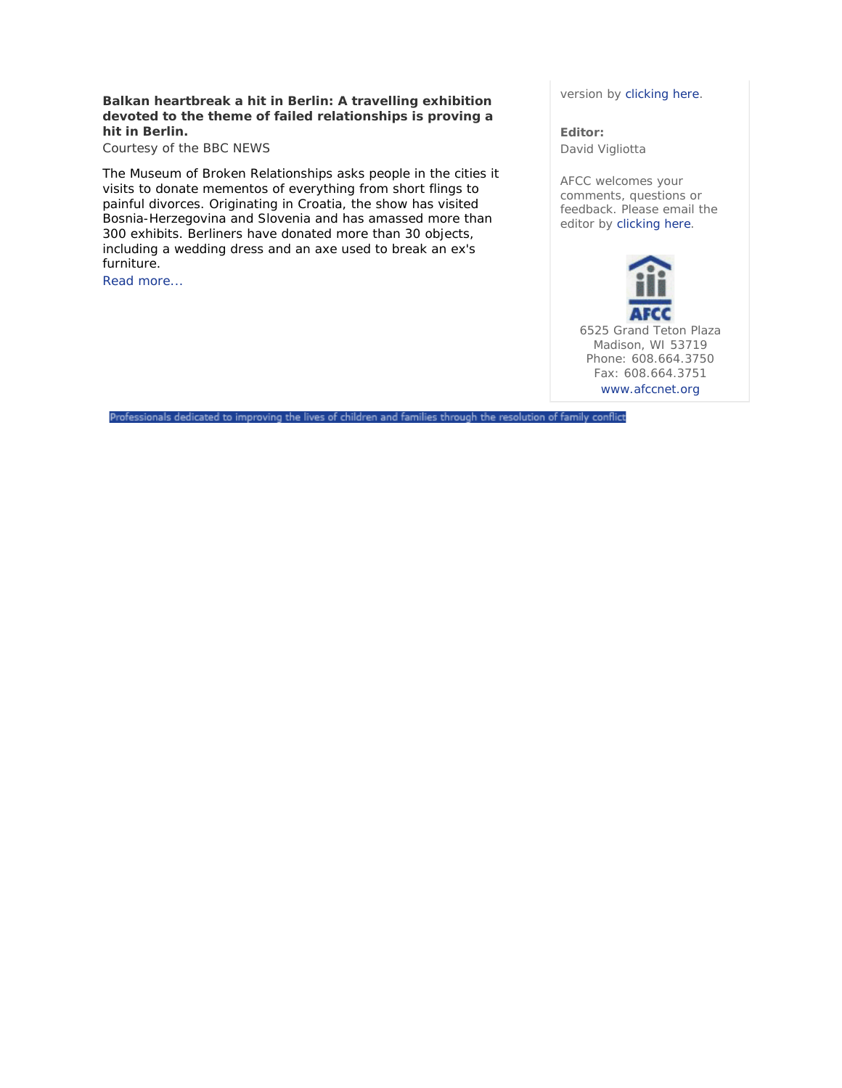## **Balkan heartbreak a hit in Berlin: A travelling exhibition devoted to the theme of failed relationships is proving a hit in Berlin.**

*Courtesy of the BBC NEWS*

The Museum of Broken Relationships asks people in the cities it visits to donate mementos of everything from short flings to painful divorces. Originating in Croatia, the show has visited Bosnia-Herzegovina and Slovenia and has amassed more than 300 exhibits. Berliners have donated more than 30 objects, including a wedding dress and an axe used to break an ex's furniture.

Read more...

version by clicking here.

**Editor:**  David Vigliotta

AFCC welcomes your comments, questions or feedback. Please email the editor by clicking here.

6525 Grand Teton Plaza Madison, WI 53719 Phone: 608.664.3750 Fax: 608.664.3751 www.afccnet.org

Professionals dedicated to improving the lives of children and families through the resolution of family conflict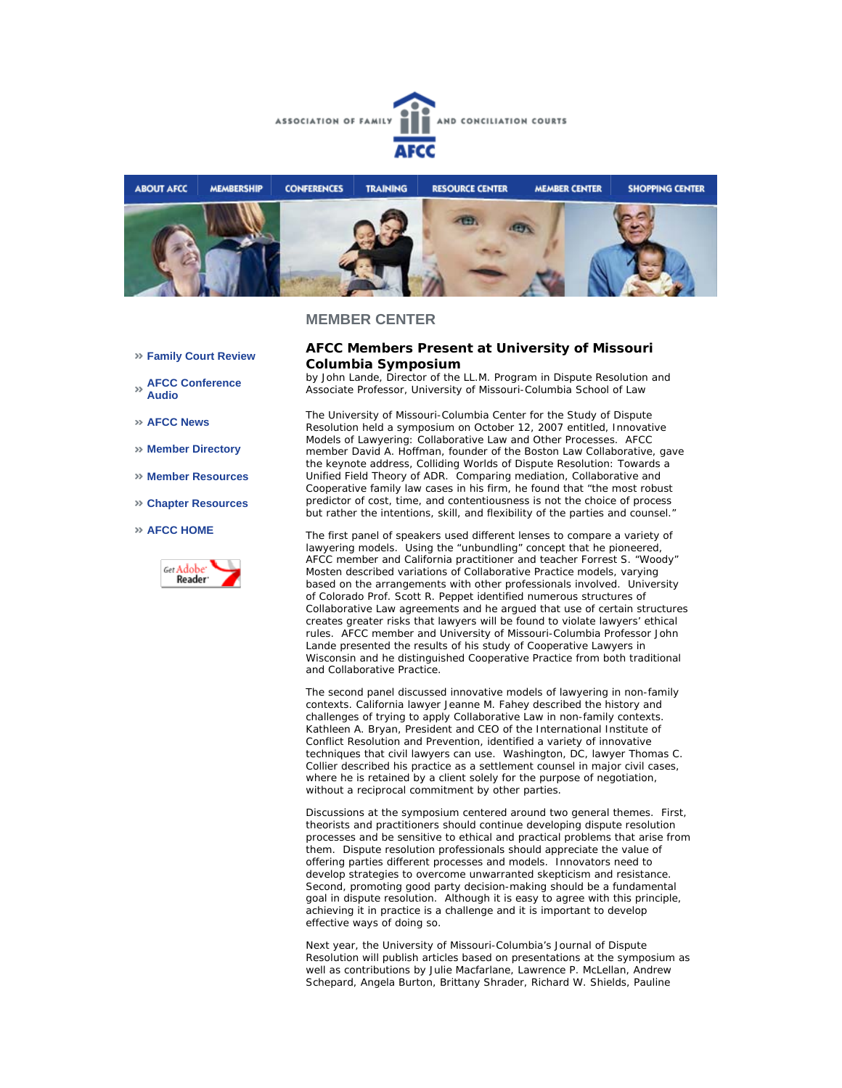



## **MEMBER CENTER**

- **Family Court Review**
- **AFCC Conference Audio**
- **AFCC News**
- **Member Directory**
- **Member Resources**
- **Chapter Resources**

#### **AFCC HOME**



## **AFCC Members Present at University of Missouri Columbia Symposium**

*by John Lande, Director of the LL.M. Program in Dispute Resolution and Associate Professor, University of Missouri-Columbia School of Law*

The University of Missouri-Columbia Center for the Study of Dispute Resolution held a symposium on October 12, 2007 entitled, *Innovative Models of Lawyering: Collaborative Law and Other Processes*. AFCC member David A. Hoffman, founder of the Boston Law Collaborative, gave the keynote address, *Colliding Worlds of Dispute Resolution: Towards a Unified Field Theory of ADR*. Comparing mediation, Collaborative and Cooperative family law cases in his firm, he found that "the most robust predictor of cost, time, and contentiousness is not the choice of process but rather the intentions, skill, and flexibility of the parties and counsel."

The first panel of speakers used different lenses to compare a variety of lawyering models. Using the "unbundling" concept that he pioneered, AFCC member and California practitioner and teacher Forrest S. "Woody" Mosten described variations of Collaborative Practice models, varying based on the arrangements with other professionals involved. University of Colorado Prof. Scott R. Peppet identified numerous structures of Collaborative Law agreements and he argued that use of certain structures creates greater risks that lawyers will be found to violate lawyers' ethical rules. AFCC member and University of Missouri-Columbia Professor John Lande presented the results of his study of Cooperative Lawyers in Wisconsin and he distinguished Cooperative Practice from both traditional and Collaborative Practice.

The second panel discussed innovative models of lawyering in non-family contexts. California lawyer Jeanne M. Fahey described the history and challenges of trying to apply Collaborative Law in non-family contexts. Kathleen A. Bryan, President and CEO of the International Institute of Conflict Resolution and Prevention, identified a variety of innovative techniques that civil lawyers can use. Washington, DC, lawyer Thomas C. Collier described his practice as a settlement counsel in major civil cases, where he is retained by a client solely for the purpose of negotiation, without a reciprocal commitment by other parties.

Discussions at the symposium centered around two general themes. First, theorists and practitioners should continue developing dispute resolution processes and be sensitive to ethical and practical problems that arise from them. Dispute resolution professionals should appreciate the value of offering parties different processes and models. Innovators need to develop strategies to overcome unwarranted skepticism and resistance. Second, promoting good party decision-making should be a fundamental goal in dispute resolution. Although it is easy to agree with this principle, achieving it in practice is a challenge and it is important to develop effective ways of doing so.

Next year, the University of Missouri-Columbia's Journal of Dispute Resolution will publish articles based on presentations at the symposium as well as contributions by Julie Macfarlane, Lawrence P. McLellan, Andrew Schepard, Angela Burton, Brittany Shrader, Richard W. Shields, Pauline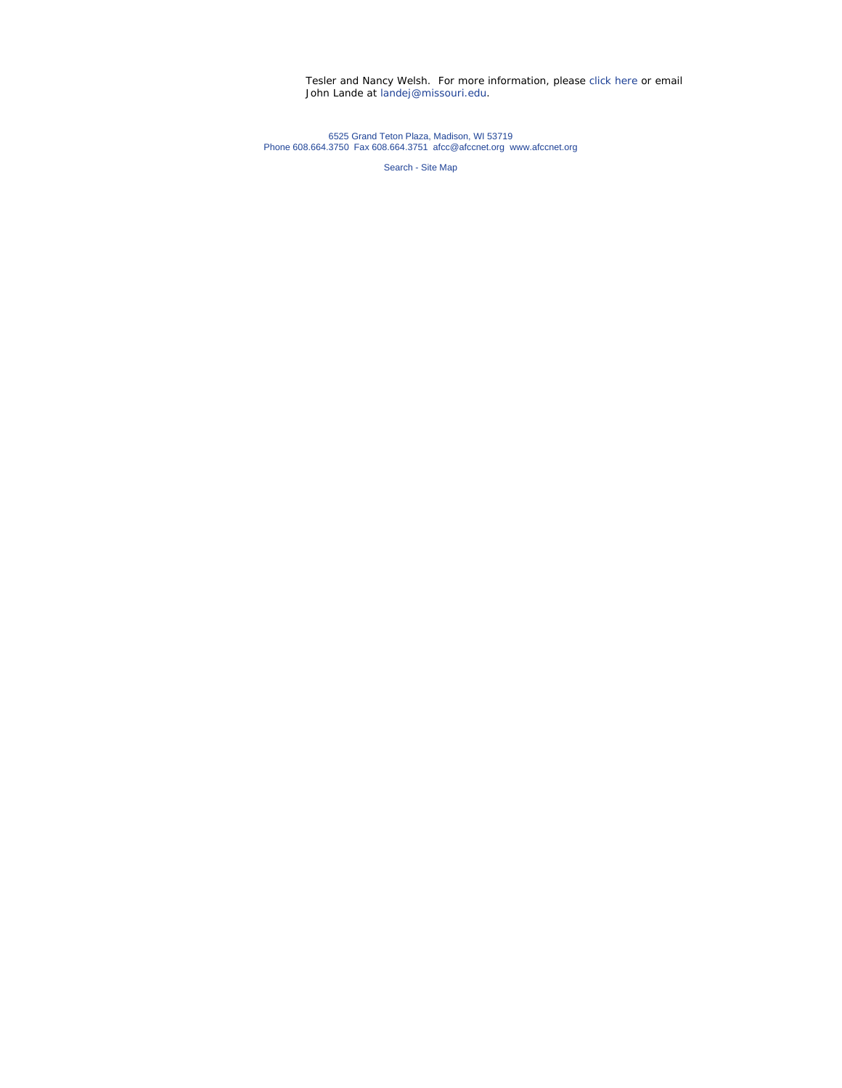Tesler and Nancy Welsh. For more information, please click here or email John Lande at landej@missouri.edu.

6525 Grand Teton Plaza, Madison, WI 53719 Phone 608.664.3750 Fax 608.664.3751 afcc@afccnet.org www.afccnet.org

Search - Site Map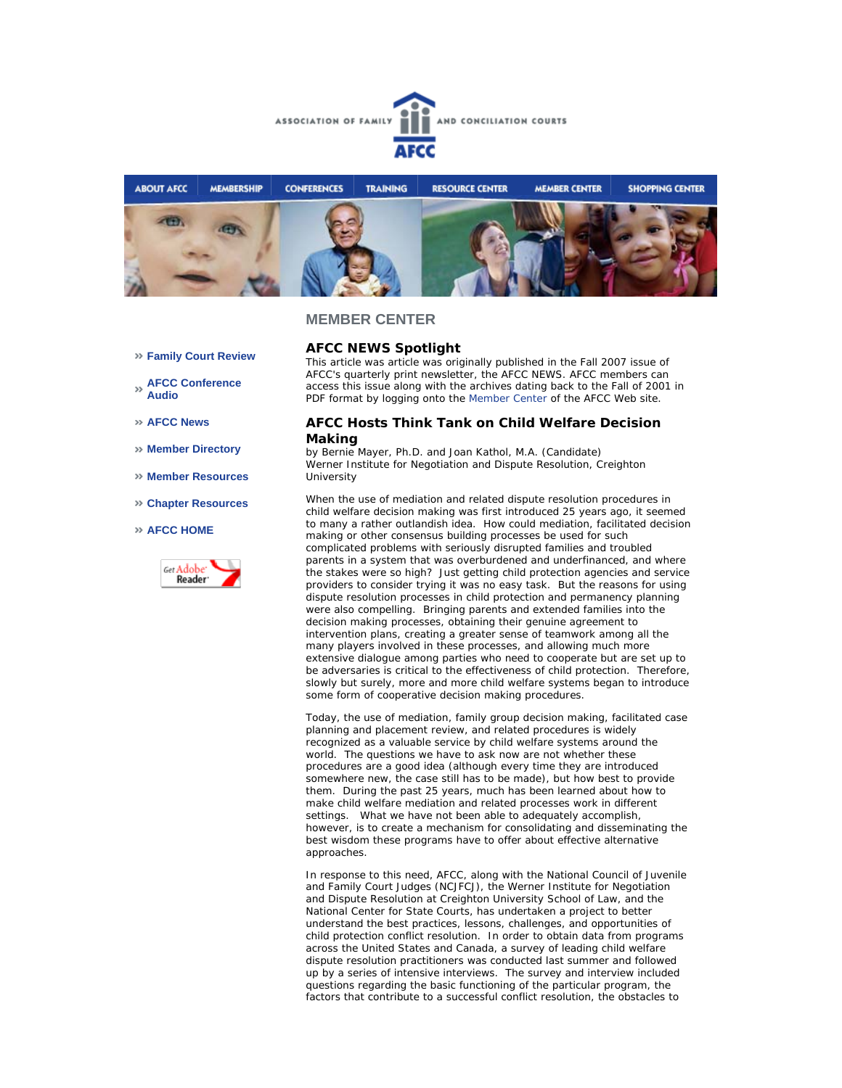



#### **MEMBER CENTER**

- **Family Court Review**
- **AFCC Conference Audio**
- **AFCC News**
- **Member Directory**
- **Member Resources**
- **Chapter Resources**
- **AFCC HOME**



# **AFCC NEWS Spotlight**

*This article was article was originally published in the Fall 2007 issue of AFCC's quarterly print newsletter, the* AFCC NEWS*. AFCC members can access this issue along with the archives dating back to the Fall of 2001 in PDF format by logging onto the Member Center of the AFCC Web site.* 

### **AFCC Hosts Think Tank on Child Welfare Decision Making**

*by Bernie Mayer, Ph.D. and Joan Kathol, M.A. (Candidate) Werner Institute for Negotiation and Dispute Resolution, Creighton University*

When the use of mediation and related dispute resolution procedures in child welfare decision making was first introduced 25 years ago, it seemed to many a rather outlandish idea. How could mediation, facilitated decision making or other consensus building processes be used for such complicated problems with seriously disrupted families and troubled parents in a system that was overburdened and underfinanced, and where the stakes were so high? Just getting child protection agencies and service providers to consider trying it was no easy task. But the reasons for using dispute resolution processes in child protection and permanency planning were also compelling. Bringing parents and extended families into the decision making processes, obtaining their genuine agreement to intervention plans, creating a greater sense of teamwork among all the many players involved in these processes, and allowing much more extensive dialogue among parties who need to cooperate but are set up to be adversaries is critical to the effectiveness of child protection. Therefore, slowly but surely, more and more child welfare systems began to introduce some form of cooperative decision making procedures.

Today, the use of mediation, family group decision making, facilitated case planning and placement review, and related procedures is widely recognized as a valuable service by child welfare systems around the world. The questions we have to ask now are not whether these procedures are a good idea (although every time they are introduced somewhere new, the case still has to be made), but how best to provide them. During the past 25 years, much has been learned about how to make child welfare mediation and related processes work in different settings. What we have not been able to adequately accomplish, however, is to create a mechanism for consolidating and disseminating the best wisdom these programs have to offer about effective alternative approaches.

In response to this need, AFCC, along with the National Council of Juvenile and Family Court Judges (NCJFCJ), the Werner Institute for Negotiation and Dispute Resolution at Creighton University School of Law, and the National Center for State Courts, has undertaken a project to better understand the best practices, lessons, challenges, and opportunities of child protection conflict resolution. In order to obtain data from programs across the United States and Canada, a survey of leading child welfare dispute resolution practitioners was conducted last summer and followed up by a series of intensive interviews. The survey and interview included questions regarding the basic functioning of the particular program, the factors that contribute to a successful conflict resolution, the obstacles to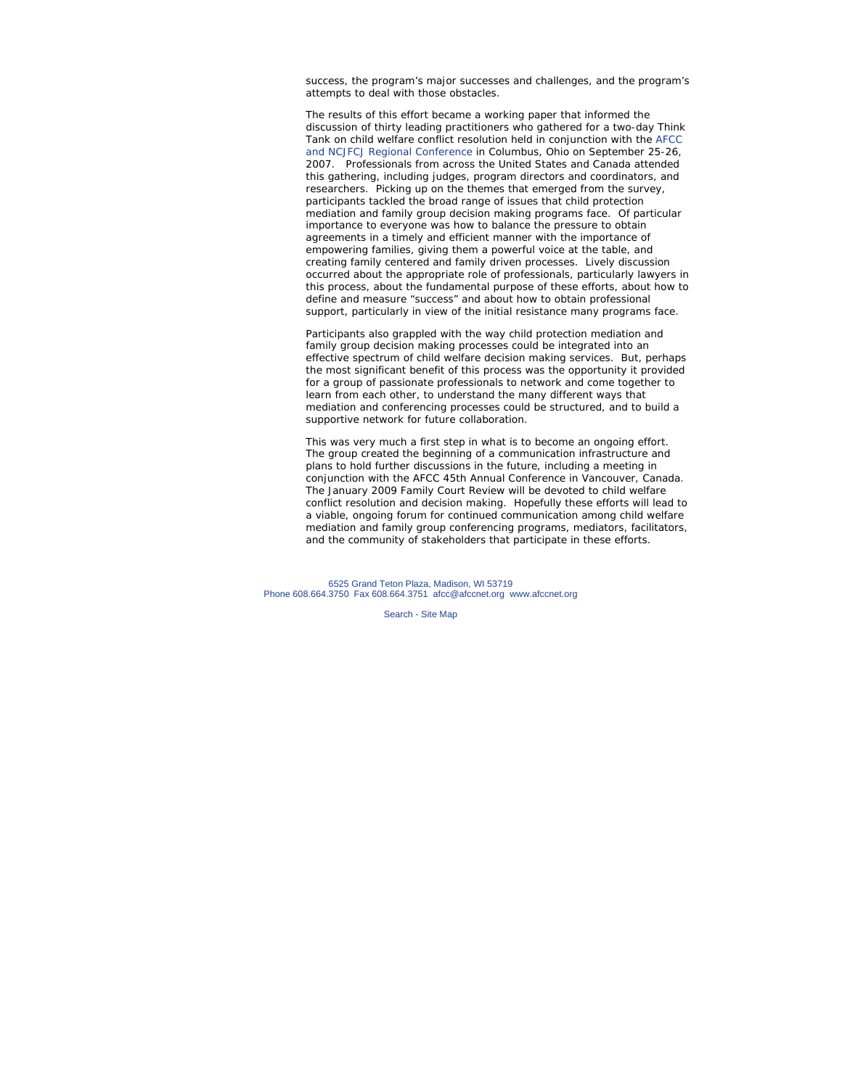success, the program's major successes and challenges, and the program's attempts to deal with those obstacles.

The results of this effort became a working paper that informed the discussion of thirty leading practitioners who gathered for a two-day Think Tank on child welfare conflict resolution held in conjunction with the AFCC and NCJFCJ Regional Conference in Columbus, Ohio on September 25-26, 2007. Professionals from across the United States and Canada attended this gathering, including judges, program directors and coordinators, and researchers. Picking up on the themes that emerged from the survey, participants tackled the broad range of issues that child protection mediation and family group decision making programs face. Of particular importance to everyone was how to balance the pressure to obtain agreements in a timely and efficient manner with the importance of empowering families, giving them a powerful voice at the table, and creating family centered and family driven processes. Lively discussion occurred about the appropriate role of professionals, particularly lawyers in this process, about the fundamental purpose of these efforts, about how to define and measure "success" and about how to obtain professional support, particularly in view of the initial resistance many programs face.

Participants also grappled with the way child protection mediation and family group decision making processes could be integrated into an effective spectrum of child welfare decision making services. But, perhaps the most significant benefit of this process was the opportunity it provided for a group of passionate professionals to network and come together to learn from each other, to understand the many different ways that mediation and conferencing processes could be structured, and to build a supportive network for future collaboration.

This was very much a first step in what is to become an ongoing effort. The group created the beginning of a communication infrastructure and plans to hold further discussions in the future, including a meeting in conjunction with the AFCC 45th Annual Conference in Vancouver, Canada. The January 2009 *Family Court Review* will be devoted to child welfare conflict resolution and decision making. Hopefully these efforts will lead to a viable, ongoing forum for continued communication among child welfare mediation and family group conferencing programs, mediators, facilitators, and the community of stakeholders that participate in these efforts.

6525 Grand Teton Plaza, Madison, WI 53719 Phone 608.664.3750 Fax 608.664.3751 afcc@afccnet.org www.afccnet.org

Search - Site Map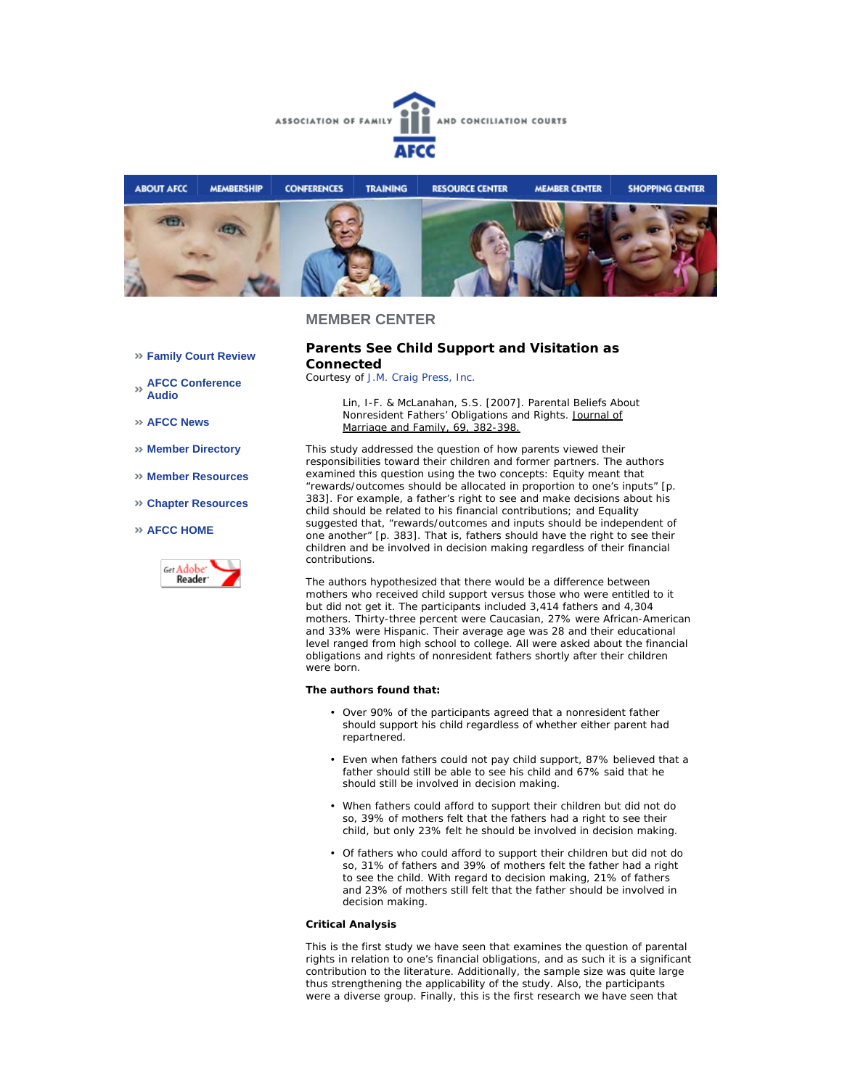



#### **MEMBER CENTER**

#### **Parents See Child Support and Visitation as Connected**

*Courtesy of J.M. Craig Press, Inc.*

Lin, I-F. & McLanahan, S.S. [2007]. Parental Beliefs About Nonresident Fathers' Obligations and Rights. Journal of Marriage and Family, 69, 382-398.

This study addressed the question of how parents viewed their responsibilities toward their children and former partners. The authors examined this question using the two concepts: Equity meant that "rewards/outcomes should be allocated in proportion to one's inputs" [p. 383]. For example, a father's right to see and make decisions about his child should be related to his financial contributions; and Equality suggested that, "rewards/outcomes and inputs should be independent of one another" [p. 383]. That is, fathers should have the right to see their children and be involved in decision making regardless of their financial contributions.

The authors hypothesized that there would be a difference between mothers who received child support versus those who were entitled to it but did not get it. The participants included 3,414 fathers and 4,304 mothers. Thirty-three percent were Caucasian, 27% were African-American and 33% were Hispanic. Their average age was 28 and their educational level ranged from high school to college. All were asked about the financial obligations and rights of nonresident fathers shortly after their children were born.

#### **The authors found that:**

- Over 90% of the participants agreed that a nonresident father should support his child regardless of whether either parent had repartnered.
- Even when fathers could not pay child support, 87% believed that a father should still be able to see his child and 67% said that he should still be involved in decision making.
- When fathers could afford to support their children but did not do so, 39% of mothers felt that the fathers had a right to see their child, but only 23% felt he should be involved in decision making.
- Of fathers who could afford to support their children but did not do so, 31% of fathers and 39% of mothers felt the father had a right to see the child. With regard to decision making, 21% of fathers and 23% of mothers still felt that the father should be involved in decision making.

#### **Critical Analysis**

This is the first study we have seen that examines the question of parental rights in relation to one's financial obligations, and as such it is a significant contribution to the literature. Additionally, the sample size was quite large thus strengthening the applicability of the study. Also, the participants were a diverse group. Finally, this is the first research we have seen that

- **Family Court Review**
- **AFCC Conference Audio**
- **AFCC News**
- **Member Directory**
- **Member Resources**
- **Chapter Resources**

#### **AFCC HOME**